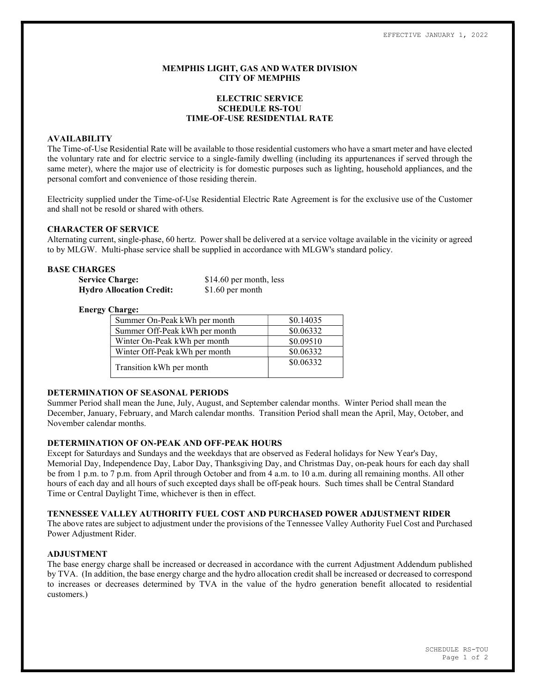### MEMPHIS LIGHT, GAS AND WATER DIVISION CITY OF MEMPHIS

## ELECTRIC SERVICE SCHEDULE RS-TOU TIME-OF-USE RESIDENTIAL RATE

## AVAILABILITY

The Time-of-Use Residential Rate will be available to those residential customers who have a smart meter and have elected the voluntary rate and for electric service to a single-family dwelling (including its appurtenances if served through the same meter), where the major use of electricity is for domestic purposes such as lighting, household appliances, and the personal comfort and convenience of those residing therein.

Electricity supplied under the Time-of-Use Residential Electric Rate Agreement is for the exclusive use of the Customer and shall not be resold or shared with others.

### CHARACTER OF SERVICE

Alternating current, single-phase, 60 hertz. Power shall be delivered at a service voltage available in the vicinity or agreed to by MLGW. Multi-phase service shall be supplied in accordance with MLGW's standard policy.

# BASE CHARGES

| <b>Service Charge:</b>          | \$14.60 per month, less |
|---------------------------------|-------------------------|
| <b>Hydro Allocation Credit:</b> | $$1.60$ per month       |

#### Energy Charge:

| Summer On-Peak kWh per month  | \$0.14035 |
|-------------------------------|-----------|
| Summer Off-Peak kWh per month | \$0.06332 |
| Winter On-Peak kWh per month  | \$0.09510 |
| Winter Off-Peak kWh per month | \$0.06332 |
| Transition kWh per month      | \$0.06332 |

#### DETERMINATION OF SEASONAL PERIODS

Summer Period shall mean the June, July, August, and September calendar months. Winter Period shall mean the December, January, February, and March calendar months. Transition Period shall mean the April, May, October, and November calendar months.

### DETERMINATION OF ON-PEAK AND OFF-PEAK HOURS

Except for Saturdays and Sundays and the weekdays that are observed as Federal holidays for New Year's Day, Memorial Day, Independence Day, Labor Day, Thanksgiving Day, and Christmas Day, on-peak hours for each day shall be from 1 p.m. to 7 p.m. from April through October and from 4 a.m. to 10 a.m. during all remaining months. All other hours of each day and all hours of such excepted days shall be off-peak hours. Such times shall be Central Standard Time or Central Daylight Time, whichever is then in effect.

### TENNESSEE VALLEY AUTHORITY FUEL COST AND PURCHASED POWER ADJUSTMENT RIDER

The above rates are subject to adjustment under the provisions of the Tennessee Valley Authority Fuel Cost and Purchased Power Adjustment Rider.

#### ADJUSTMENT

The base energy charge shall be increased or decreased in accordance with the current Adjustment Addendum published by TVA. (In addition, the base energy charge and the hydro allocation credit shall be increased or decreased to correspond to increases or decreases determined by TVA in the value of the hydro generation benefit allocated to residential customers.)